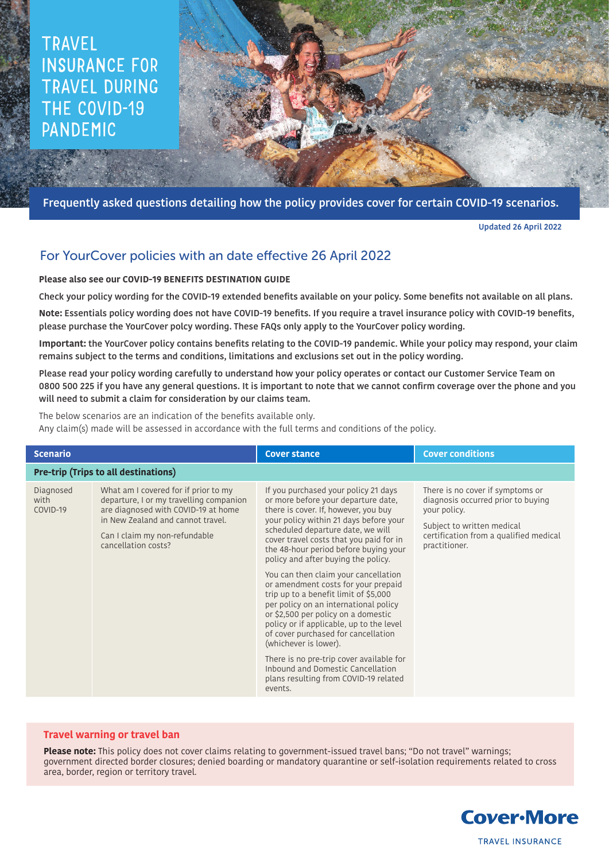# TRAVEL INSURANCE FOR TRAVEL DURING THE COVID-19 PANDEMIC

Frequently asked questions detailing how the policy provides cover for certain COVID-19 scenarios.

Updated 26 April 2022

# For YourCover policies with an date effective 26 April 2022

## **Please also see our COVID-19 BENEFITS DESTINATION GUIDE**

Check your policy wording for the COVID-19 extended benefits available on your policy. Some benefits not available on all plans.

**Note:** Essentials policy wording does not have COVID-19 benefits. If you require a travel insurance policy with COVID-19 benefits, please purchase the YourCover polcy wording. These FAQs only apply to the YourCover policy wording.

**Important:** the YourCover policy contains benefits relating to the COVID-19 pandemic. While your policy may respond, your claim remains subject to the terms and conditions, limitations and exclusions set out in the policy wording.

Please read your policy wording carefully to understand how your policy operates or contact our Customer Service Team on 0800 500 225 if you have any general questions. It is important to note that we cannot confirm coverage over the phone and you will need to submit a claim for consideration by our claims team.

The below scenarios are an indication of the benefits available only.

Any claim(s) made will be assessed in accordance with the full terms and conditions of the policy.

| <b>Scenario</b>                      |                                                                                                                                                                                                                     | <b>Cover stance</b>                                                                                                                                                                                                                                                                                                                                                                                                                                                                                                                                                                                                                                                                                                                                                                    | <b>Cover conditions</b>                                                                                                                                                         |
|--------------------------------------|---------------------------------------------------------------------------------------------------------------------------------------------------------------------------------------------------------------------|----------------------------------------------------------------------------------------------------------------------------------------------------------------------------------------------------------------------------------------------------------------------------------------------------------------------------------------------------------------------------------------------------------------------------------------------------------------------------------------------------------------------------------------------------------------------------------------------------------------------------------------------------------------------------------------------------------------------------------------------------------------------------------------|---------------------------------------------------------------------------------------------------------------------------------------------------------------------------------|
| Pre-trip (Trips to all destinations) |                                                                                                                                                                                                                     |                                                                                                                                                                                                                                                                                                                                                                                                                                                                                                                                                                                                                                                                                                                                                                                        |                                                                                                                                                                                 |
| Diagnosed<br>with<br>COVID-19        | What am I covered for if prior to my<br>departure, I or my travelling companion<br>are diagnosed with COVID-19 at home<br>in New Zealand and cannot travel.<br>Can I claim my non-refundable<br>cancellation costs? | If you purchased your policy 21 days<br>or more before your departure date,<br>there is cover. If, however, you buy<br>your policy within 21 days before your<br>scheduled departure date, we will<br>cover travel costs that you paid for in<br>the 48-hour period before buying your<br>policy and after buying the policy.<br>You can then claim your cancellation<br>or amendment costs for your prepaid<br>trip up to a benefit limit of \$5,000<br>per policy on an international policy<br>or \$2,500 per policy on a domestic<br>policy or if applicable, up to the level<br>of cover purchased for cancellation<br>(whichever is lower).<br>There is no pre-trip cover available for<br>Inbound and Domestic Cancellation<br>plans resulting from COVID-19 related<br>events. | There is no cover if symptoms or<br>diagnosis occurred prior to buying<br>your policy.<br>Subject to written medical<br>certification from a qualified medical<br>practitioner. |

### **Travel warning or travel ban**

**Please note:** This policy does not cover claims relating to government-issued travel bans; "Do not travel" warnings; government directed border closures; denied boarding or mandatory quarantine or self-isolation requirements related to cross area, border, region or territory travel.

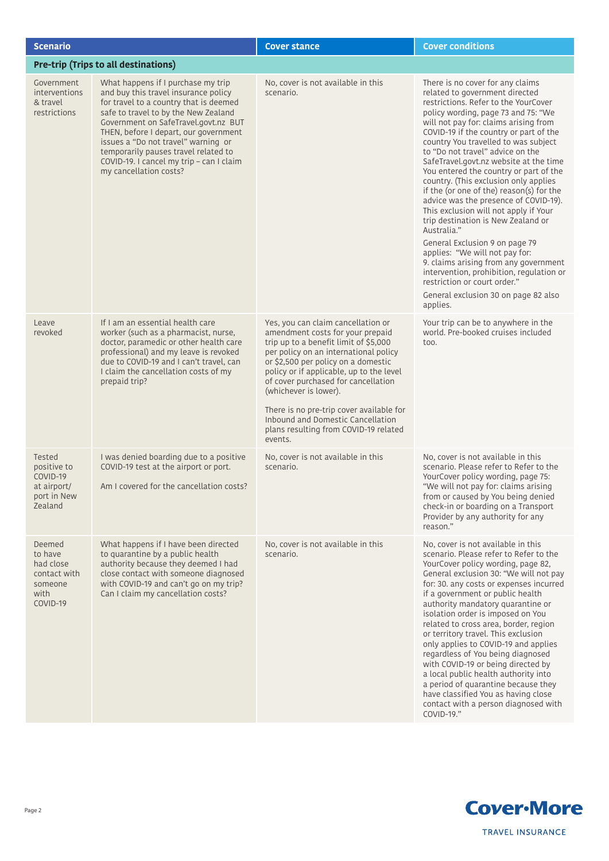| <b>Scenario</b>                                                               |                                                                                                                                                                                                                                                                                                                                                                                                    | <b>Cover stance</b>                                                                                                                                                                                                                                                                                                                                                                                                                              | <b>Cover conditions</b>                                                                                                                                                                                                                                                                                                                                                                                                                                                                                                                                                                                                                                                                                                                                                                                                                                                       |
|-------------------------------------------------------------------------------|----------------------------------------------------------------------------------------------------------------------------------------------------------------------------------------------------------------------------------------------------------------------------------------------------------------------------------------------------------------------------------------------------|--------------------------------------------------------------------------------------------------------------------------------------------------------------------------------------------------------------------------------------------------------------------------------------------------------------------------------------------------------------------------------------------------------------------------------------------------|-------------------------------------------------------------------------------------------------------------------------------------------------------------------------------------------------------------------------------------------------------------------------------------------------------------------------------------------------------------------------------------------------------------------------------------------------------------------------------------------------------------------------------------------------------------------------------------------------------------------------------------------------------------------------------------------------------------------------------------------------------------------------------------------------------------------------------------------------------------------------------|
| <b>Pre-trip (Trips to all destinations)</b>                                   |                                                                                                                                                                                                                                                                                                                                                                                                    |                                                                                                                                                                                                                                                                                                                                                                                                                                                  |                                                                                                                                                                                                                                                                                                                                                                                                                                                                                                                                                                                                                                                                                                                                                                                                                                                                               |
| Government<br><i>interventions</i><br>& travel<br>restrictions                | What happens if I purchase my trip<br>and buy this travel insurance policy<br>for travel to a country that is deemed<br>safe to travel to by the New Zealand<br>Government on SafeTravel.govt.nz BUT<br>THEN, before I depart, our government<br>issues a "Do not travel" warning or<br>temporarily pauses travel related to<br>COVID-19. I cancel my trip - can I claim<br>my cancellation costs? | No, cover is not available in this<br>scenario.                                                                                                                                                                                                                                                                                                                                                                                                  | There is no cover for any claims<br>related to government directed<br>restrictions. Refer to the YourCover<br>policy wording, page 73 and 75: "We<br>will not pay for: claims arising from<br>COVID-19 if the country or part of the<br>country You travelled to was subject<br>to "Do not travel" advice on the<br>SafeTravel.govt.nz website at the time<br>You entered the country or part of the<br>country. (This exclusion only applies<br>if the (or one of the) reason(s) for the<br>advice was the presence of COVID-19).<br>This exclusion will not apply if Your<br>trip destination is New Zealand or<br>Australia."<br>General Exclusion 9 on page 79<br>applies: "We will not pay for:<br>9. claims arising from any government<br>intervention, prohibition, regulation or<br>restriction or court order."<br>General exclusion 30 on page 82 also<br>applies. |
| Leave<br>revoked                                                              | If I am an essential health care<br>worker (such as a pharmacist, nurse,<br>doctor, paramedic or other health care<br>professional) and my leave is revoked<br>due to COVID-19 and I can't travel, can<br>I claim the cancellation costs of my<br>prepaid trip?                                                                                                                                    | Yes, you can claim cancellation or<br>amendment costs for your prepaid<br>trip up to a benefit limit of \$5,000<br>per policy on an international policy<br>or \$2,500 per policy on a domestic<br>policy or if applicable, up to the level<br>of cover purchased for cancellation<br>(whichever is lower).<br>There is no pre-trip cover available for<br>Inbound and Domestic Cancellation<br>plans resulting from COVID-19 related<br>events. | Your trip can be to anywhere in the<br>world. Pre-booked cruises included<br>too.                                                                                                                                                                                                                                                                                                                                                                                                                                                                                                                                                                                                                                                                                                                                                                                             |
| Tested<br>positive to<br>COVID-19<br>at airport/<br>port in New<br>Zealand    | I was denied boarding due to a positive<br>COVID-19 test at the airport or port.<br>Am I covered for the cancellation costs?                                                                                                                                                                                                                                                                       | No, cover is not available in this<br>scenario.                                                                                                                                                                                                                                                                                                                                                                                                  | No. cover is not available in this<br>scenario. Please refer to Refer to the<br>YourCover policy wording, page 75:<br>"We will not pay for: claims arising<br>from or caused by You being denied<br>check-in or boarding on a Transport<br>Provider by any authority for any<br>reason."                                                                                                                                                                                                                                                                                                                                                                                                                                                                                                                                                                                      |
| Deemed<br>to have<br>had close<br>contact with<br>someone<br>with<br>COVID-19 | What happens if I have been directed<br>to quarantine by a public health<br>authority because they deemed I had<br>close contact with someone diagnosed<br>with COVID-19 and can't go on my trip?<br>Can I claim my cancellation costs?                                                                                                                                                            | No, cover is not available in this<br>scenario.                                                                                                                                                                                                                                                                                                                                                                                                  | No, cover is not available in this<br>scenario. Please refer to Refer to the<br>YourCover policy wording, page 82,<br>General exclusion 30: "We will not pay<br>for: 30. any costs or expenses incurred<br>if a government or public health<br>authority mandatory quarantine or<br>isolation order is imposed on You<br>related to cross area, border, region<br>or territory travel. This exclusion<br>only applies to COVID-19 and applies<br>regardless of You being diagnosed<br>with COVID-19 or being directed by<br>a local public health authority into<br>a period of quarantine because they<br>have classified You as having close<br>contact with a person diagnosed with<br>COVID-19."                                                                                                                                                                          |

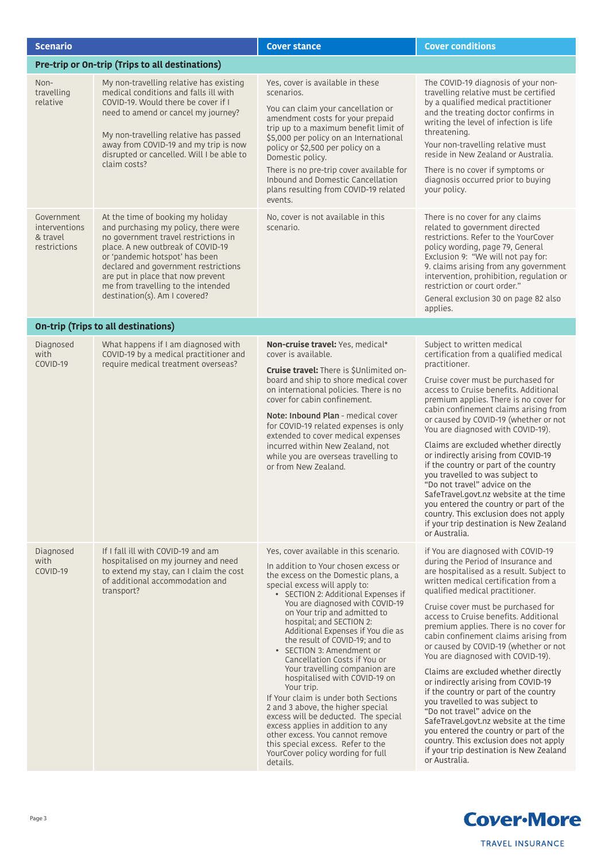| <b>Scenario</b>                                                |                                                                                                                                                                                                                                                                                                                                              | <b>Cover stance</b>                                                                                                                                                                                                                                                                                                                                                                                                                                                                                                                                                                                                                                                                                                                                                                                 | <b>Cover conditions</b>                                                                                                                                                                                                                                                                                                                                                                                                                                                                                                                                                                                                                                                                                                                                                                                                               |
|----------------------------------------------------------------|----------------------------------------------------------------------------------------------------------------------------------------------------------------------------------------------------------------------------------------------------------------------------------------------------------------------------------------------|-----------------------------------------------------------------------------------------------------------------------------------------------------------------------------------------------------------------------------------------------------------------------------------------------------------------------------------------------------------------------------------------------------------------------------------------------------------------------------------------------------------------------------------------------------------------------------------------------------------------------------------------------------------------------------------------------------------------------------------------------------------------------------------------------------|---------------------------------------------------------------------------------------------------------------------------------------------------------------------------------------------------------------------------------------------------------------------------------------------------------------------------------------------------------------------------------------------------------------------------------------------------------------------------------------------------------------------------------------------------------------------------------------------------------------------------------------------------------------------------------------------------------------------------------------------------------------------------------------------------------------------------------------|
|                                                                | Pre-trip or On-trip (Trips to all destinations)                                                                                                                                                                                                                                                                                              |                                                                                                                                                                                                                                                                                                                                                                                                                                                                                                                                                                                                                                                                                                                                                                                                     |                                                                                                                                                                                                                                                                                                                                                                                                                                                                                                                                                                                                                                                                                                                                                                                                                                       |
| Non-<br>travelling<br>relative                                 | My non-travelling relative has existing<br>medical conditions and falls ill with<br>COVID-19. Would there be cover if I<br>need to amend or cancel my journey?<br>My non-travelling relative has passed<br>away from COVID-19 and my trip is now<br>disrupted or cancelled. Will I be able to<br>claim costs?                                | Yes, cover is available in these<br>scenarios.<br>You can claim your cancellation or<br>amendment costs for your prepaid<br>trip up to a maximum benefit limit of<br>\$5,000 per policy on an International<br>policy or \$2,500 per policy on a<br>Domestic policy.<br>There is no pre-trip cover available for<br>Inbound and Domestic Cancellation<br>plans resulting from COVID-19 related<br>events.                                                                                                                                                                                                                                                                                                                                                                                           | The COVID-19 diagnosis of your non-<br>travelling relative must be certified<br>by a qualified medical practitioner<br>and the treating doctor confirms in<br>writing the level of infection is life<br>threatening.<br>Your non-travelling relative must<br>reside in New Zealand or Australia.<br>There is no cover if symptoms or<br>diagnosis occurred prior to buying<br>your policy.                                                                                                                                                                                                                                                                                                                                                                                                                                            |
| Government<br><i>interventions</i><br>& travel<br>restrictions | At the time of booking my holiday<br>and purchasing my policy, there were<br>no government travel restrictions in<br>place. A new outbreak of COVID-19<br>or 'pandemic hotspot' has been<br>declared and government restrictions<br>are put in place that now prevent<br>me from travelling to the intended<br>destination(s). Am I covered? | No, cover is not available in this<br>scenario.                                                                                                                                                                                                                                                                                                                                                                                                                                                                                                                                                                                                                                                                                                                                                     | There is no cover for any claims<br>related to government directed<br>restrictions. Refer to the YourCover<br>policy wording, page 79, General<br>Exclusion 9: "We will not pay for:<br>9. claims arising from any government<br>intervention, prohibition, regulation or<br>restriction or court order."<br>General exclusion 30 on page 82 also<br>applies.                                                                                                                                                                                                                                                                                                                                                                                                                                                                         |
|                                                                | <b>On-trip (Trips to all destinations)</b>                                                                                                                                                                                                                                                                                                   |                                                                                                                                                                                                                                                                                                                                                                                                                                                                                                                                                                                                                                                                                                                                                                                                     |                                                                                                                                                                                                                                                                                                                                                                                                                                                                                                                                                                                                                                                                                                                                                                                                                                       |
| Diagnosed<br>with<br>COVID-19                                  | What happens if I am diagnosed with<br>COVID-19 by a medical practitioner and<br>require medical treatment overseas?                                                                                                                                                                                                                         | Non-cruise travel: Yes, medical*<br>cover is available.<br>Cruise travel: There is \$Unlimited on-<br>board and ship to shore medical cover<br>on international policies. There is no<br>cover for cabin confinement.<br>Note: Inbound Plan - medical cover<br>for COVID-19 related expenses is only<br>extended to cover medical expenses<br>incurred within New Zealand, not<br>while you are overseas travelling to<br>or from New Zealand.                                                                                                                                                                                                                                                                                                                                                      | Subject to written medical<br>certification from a qualified medical<br>practitioner.<br>Cruise cover must be purchased for<br>access to Cruise benefits. Additional<br>premium applies. There is no cover for<br>cabin confinement claims arising from<br>or caused by COVID-19 (whether or not<br>You are diagnosed with COVID-19).<br>Claims are excluded whether directly<br>or indirectly arising from COVID-19<br>if the country or part of the country<br>you travelled to was subject to<br>"Do not travel" advice on the<br>SafeTravel.govt.nz website at the time<br>you entered the country or part of the<br>country. This exclusion does not apply<br>if your trip destination is New Zealand<br>or Australia.                                                                                                           |
| Diagnosed<br>with<br>COVID-19                                  | If I fall ill with COVID-19 and am<br>hospitalised on my journey and need<br>to extend my stay, can I claim the cost<br>of additional accommodation and<br>transport?                                                                                                                                                                        | Yes, cover available in this scenario.<br>In addition to Your chosen excess or<br>the excess on the Domestic plans, a<br>special excess will apply to:<br>• SECTION 2: Additional Expenses if<br>You are diagnosed with COVID-19<br>on Your trip and admitted to<br>hospital; and SECTION 2:<br>Additional Expenses if You die as<br>the result of COVID-19; and to<br>• SECTION 3: Amendment or<br>Cancellation Costs if You or<br>Your travelling companion are<br>hospitalised with COVID-19 on<br>Your trip.<br>If Your claim is under both Sections<br>2 and 3 above, the higher special<br>excess will be deducted. The special<br>excess applies in addition to any<br>other excess. You cannot remove<br>this special excess. Refer to the<br>YourCover policy wording for full<br>details. | if You are diagnosed with COVID-19<br>during the Period of Insurance and<br>are hospitalised as a result. Subject to<br>written medical certification from a<br>qualified medical practitioner.<br>Cruise cover must be purchased for<br>access to Cruise benefits. Additional<br>premium applies. There is no cover for<br>cabin confinement claims arising from<br>or caused by COVID-19 (whether or not<br>You are diagnosed with COVID-19).<br>Claims are excluded whether directly<br>or indirectly arising from COVID-19<br>if the country or part of the country<br>you travelled to was subject to<br>"Do not travel" advice on the<br>SafeTravel.govt.nz website at the time<br>you entered the country or part of the<br>country. This exclusion does not apply<br>if your trip destination is New Zealand<br>or Australia. |

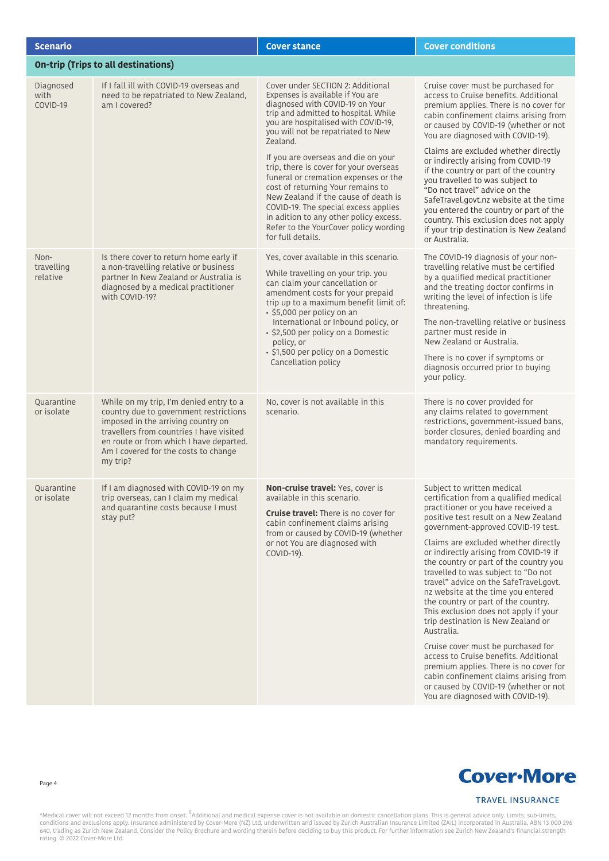| <b>Scenario</b>                |                                                                                                                                                                                                                                                                    | <b>Cover stance</b>                                                                                                                                                                                                                                                                                                                                                                | <b>Cover conditions</b>                                                                                                                                                                                                                                                                                                                                                                                                                                                                                                                                                                                                                                                                                                                                                                                                           |
|--------------------------------|--------------------------------------------------------------------------------------------------------------------------------------------------------------------------------------------------------------------------------------------------------------------|------------------------------------------------------------------------------------------------------------------------------------------------------------------------------------------------------------------------------------------------------------------------------------------------------------------------------------------------------------------------------------|-----------------------------------------------------------------------------------------------------------------------------------------------------------------------------------------------------------------------------------------------------------------------------------------------------------------------------------------------------------------------------------------------------------------------------------------------------------------------------------------------------------------------------------------------------------------------------------------------------------------------------------------------------------------------------------------------------------------------------------------------------------------------------------------------------------------------------------|
|                                | <b>On-trip (Trips to all destinations)</b>                                                                                                                                                                                                                         |                                                                                                                                                                                                                                                                                                                                                                                    |                                                                                                                                                                                                                                                                                                                                                                                                                                                                                                                                                                                                                                                                                                                                                                                                                                   |
| Diagnosed<br>with<br>COVID-19  | If I fall ill with COVID-19 overseas and<br>need to be repatriated to New Zealand,<br>am I covered?                                                                                                                                                                | Cover under SECTION 2: Additional<br>Expenses is available if You are<br>diagnosed with COVID-19 on Your<br>trip and admitted to hospital. While<br>you are hospitalised with COVID-19,<br>you will not be repatriated to New<br>Zealand.                                                                                                                                          | Cruise cover must be purchased for<br>access to Cruise benefits. Additional<br>premium applies. There is no cover for<br>cabin confinement claims arising from<br>or caused by COVID-19 (whether or not<br>You are diagnosed with COVID-19).                                                                                                                                                                                                                                                                                                                                                                                                                                                                                                                                                                                      |
|                                |                                                                                                                                                                                                                                                                    | If you are overseas and die on your<br>trip, there is cover for your overseas<br>funeral or cremation expenses or the<br>cost of returning Your remains to<br>New Zealand if the cause of death is<br>COVID-19. The special excess applies<br>in adition to any other policy excess.<br>Refer to the YourCover policy wording<br>for full details.                                 | Claims are excluded whether directly<br>or indirectly arising from COVID-19<br>if the country or part of the country<br>you travelled to was subject to<br>"Do not travel" advice on the<br>SafeTravel.govt.nz website at the time<br>you entered the country or part of the<br>country. This exclusion does not apply<br>if your trip destination is New Zealand<br>or Australia.                                                                                                                                                                                                                                                                                                                                                                                                                                                |
| Non-<br>travelling<br>relative | Is there cover to return home early if<br>a non-travelling relative or business<br>partner In New Zealand or Australia is<br>diagnosed by a medical practitioner<br>with COVID-19?                                                                                 | Yes, cover available in this scenario.<br>While travelling on your trip. you<br>can claim your cancellation or<br>amendment costs for your prepaid<br>trip up to a maximum benefit limit of:<br>· \$5,000 per policy on an<br>International or Inbound policy, or<br>· \$2,500 per policy on a Domestic<br>policy, or<br>· \$1,500 per policy on a Domestic<br>Cancellation policy | The COVID-19 diagnosis of your non-<br>travelling relative must be certified<br>by a qualified medical practitioner<br>and the treating doctor confirms in<br>writing the level of infection is life<br>threatening.<br>The non-travelling relative or business<br>partner must reside in<br>New Zealand or Australia.<br>There is no cover if symptoms or<br>diagnosis occurred prior to buying<br>your policy.                                                                                                                                                                                                                                                                                                                                                                                                                  |
| Quarantine<br>or isolate       | While on my trip, I'm denied entry to a<br>country due to government restrictions<br>imposed in the arriving country on<br>travellers from countries I have visited<br>en route or from which I have departed.<br>Am I covered for the costs to change<br>my trip? | No, cover is not available in this<br>scenario.                                                                                                                                                                                                                                                                                                                                    | There is no cover provided for<br>any claims related to government<br>restrictions, government-issued bans,<br>border closures, denied boarding and<br>mandatory requirements.                                                                                                                                                                                                                                                                                                                                                                                                                                                                                                                                                                                                                                                    |
| Quarantine<br>or isolate       | If I am diagnosed with COVID-19 on my<br>trip overseas, can I claim my medical<br>and quarantine costs because I must<br>stay put?                                                                                                                                 | <b>Non-cruise travel:</b> Yes, cover is<br>available in this scenario.<br><b>Cruise travel:</b> There is no cover for<br>cabin confinement claims arising<br>from or caused by COVID-19 (whether<br>or not You are diagnosed with<br>COVID-19).                                                                                                                                    | Subject to written medical<br>certification from a qualified medical<br>practitioner or you have received a<br>positive test result on a New Zealand<br>government-approved COVID-19 test.<br>Claims are excluded whether directly<br>or indirectly arising from COVID-19 if<br>the country or part of the country you<br>travelled to was subject to "Do not<br>travel" advice on the SafeTravel.govt.<br>nz website at the time you entered<br>the country or part of the country.<br>This exclusion does not apply if your<br>trip destination is New Zealand or<br>Australia.<br>Cruise cover must be purchased for<br>access to Cruise benefits. Additional<br>premium applies. There is no cover for<br>cabin confinement claims arising from<br>or caused by COVID-19 (whether or not<br>You are diagnosed with COVID-19). |



**TRAVEL INSURANCE** 

\*Medical cover will not exceed 12 months from onset. <sup>0</sup>Additional and medical expense cover is not available on domestic cancellation plans. This is general advice only. Limits, sub-limits,<br>conditions and exclusions apply

Page 4